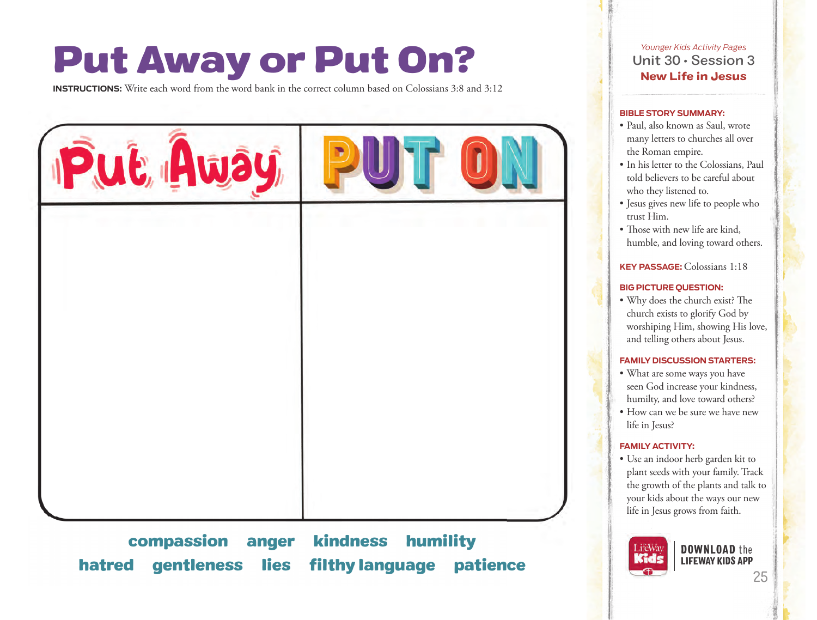# Put Away or Put On?

**INSTRUCTIONS:** Write each word from the word bank in the correct column based on Colossians 3:8 and 3:12



compassion anger kindness humility hatred gentleness lies filthy language patience **25 and 25** LIFEWAY KIDS APP

*Younger Kids Activity Pages* Unit 30 • Session 3 New Life in Jesus

#### **BIBLE STORY SUMMARY:**

- Paul, also known as Saul, wrote many letters to churches all over the Roman empire.
- In his letter to the Colossians, Paul told believers to be careful about who they listened to.
- Jesus gives new life to people who trust Him.
- Those with new life are kind, humble, and loving toward others.

# **KEY PASSAGE:**Colossians 1:18

# **BIG PICTURE QUESTION:**

• Why does the church exist? The church exists to glorify God by worshiping Him, showing His love, and telling others about Jesus.

### **FAMILY DISCUSSION STARTERS:**

- What are some ways you have seen God increase your kindness, humilty, and love toward others?
- How can we be sure we have new life in Jesus?

### **FAMILY ACTIVITY:**

• Use an indoor herb garden kit to plant seeds with your family. Track the growth of the plants and talk to your kids about the ways our new life in Jesus grows from faith.